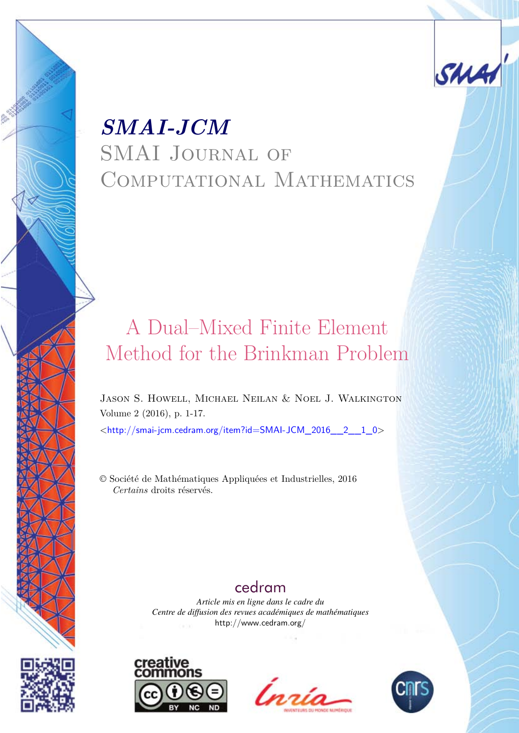

# <span id="page-0-0"></span>*SMAI-JCM* SMAI Journal of COMPUTATIONAL MATHEMATICS

# A Dual–Mixed Finite Element Method for the Brinkman Problem

Jason S. Howell, Michael Neilan & Noel J. Walkington Volume 2 (2016), p. 1-17.

<[http://smai-jcm.cedram.org/item?id=SMAI-JCM\\_2016\\_\\_2\\_\\_1\\_0](http://smai-jcm.cedram.org/item?id=SMAI-JCM_2016__2__1_0)>

© Société de Mathématiques Appliquées et Industrielles, 2016 *Certains* droits réservés.

# [cedram](http://www.cedram.org/)

*Article mis en ligne dans le cadre du Centre de diffusion des revues académiques de mathématiques* <http://www.cedram.org/>







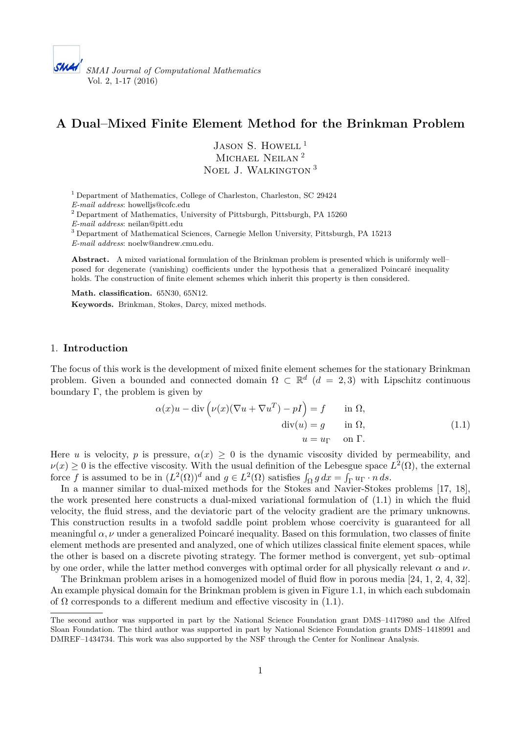# **A Dual–Mixed Finite Element Method for the Brinkman Problem**

JASON S. HOWELL<sup>1</sup> MICHAEL NEILAN<sup>2</sup> Noel J. Walkington <sup>3</sup>

<sup>1</sup> Department of Mathematics, College of Charleston, Charleston, SC 29424 *E-mail address*: [howelljs@cofc.edu](mailto:howelljs@cofc.edu)

 $^2$  Department of Mathematics, University of Pittsburgh, Pittsburgh, PA 15260  $\,$ *E-mail address*: [neilan@pitt.edu](mailto:neilan@pitt.edu)

<sup>3</sup> Department of Mathematical Sciences, Carnegie Mellon University, Pittsburgh, PA 15213 *E-mail address*: [noelw@andrew.cmu.edu.](mailto:noelw@andrew.cmu.edu)

**Abstract.** A mixed variational formulation of the Brinkman problem is presented which is uniformly well– posed for degenerate (vanishing) coefficients under the hypothesis that a generalized Poincaré inequality holds. The construction of finite element schemes which inherit this property is then considered.

**Math. classification.** 65N30, 65N12. **Keywords.** Brinkman, Stokes, Darcy, mixed methods.

# 1. **Introduction**

The focus of this work is the development of mixed finite element schemes for the stationary Brinkman problem. Given a bounded and connected domain  $\Omega \subset \mathbb{R}^d$  ( $d = 2, 3$ ) with Lipschitz continuous boundary  $\Gamma$ , the problem is given by

<span id="page-1-0"></span>
$$
\alpha(x)u - \text{div}\left(\nu(x)(\nabla u + \nabla u^T) - pI\right) = f \quad \text{in } \Omega,
$$
  
\n
$$
\text{div}(u) = g \quad \text{in } \Omega,
$$
  
\n
$$
u = u_{\Gamma} \quad \text{on } \Gamma.
$$
\n(1.1)

Here *u* is velocity, *p* is pressure,  $\alpha(x) \geq 0$  is the dynamic viscosity divided by permeability, and  $\nu(x) \geq 0$  is the effective viscosity. With the usual definition of the Lebesgue space  $L^2(\Omega)$ , the external force *f* is assumed to be in  $(L^2(\Omega))^d$  and  $g \in L^2(\Omega)$  satisfies  $\int_{\Omega} g dx = \int_{\Gamma} u_{\Gamma} \cdot n ds$ .

In a manner similar to dual-mixed methods for the Stokes and Navier-Stokes problems [\[17,](#page-16-0) [18\]](#page-16-1), the work presented here constructs a dual-mixed variational formulation of [\(1.1\)](#page-1-0) in which the fluid velocity, the fluid stress, and the deviatoric part of the velocity gradient are the primary unknowns. This construction results in a twofold saddle point problem whose coercivity is guaranteed for all meaningful *α, ν* under a generalized Poincaré inequality. Based on this formulation, two classes of finite element methods are presented and analyzed, one of which utilizes classical finite element spaces, while the other is based on a discrete pivoting strategy. The former method is convergent, yet sub–optimal by one order, while the latter method converges with optimal order for all physically relevant *α* and *ν*.

The Brinkman problem arises in a homogenized model of fluid flow in porous media [\[24,](#page-17-0) [1,](#page-15-0) [2,](#page-15-1) [4,](#page-16-2) [32\]](#page-17-1). An example physical domain for the Brinkman problem is given in Figure [1.1,](#page-2-0) in which each subdomain of  $\Omega$  corresponds to a different medium and effective viscosity in [\(1.1\)](#page-1-0).

The second author was supported in part by the National Science Foundation grant DMS–1417980 and the Alfred Sloan Foundation. The third author was supported in part by National Science Foundation grants DMS–1418991 and DMREF–1434734. This work was also supported by the NSF through the Center for Nonlinear Analysis.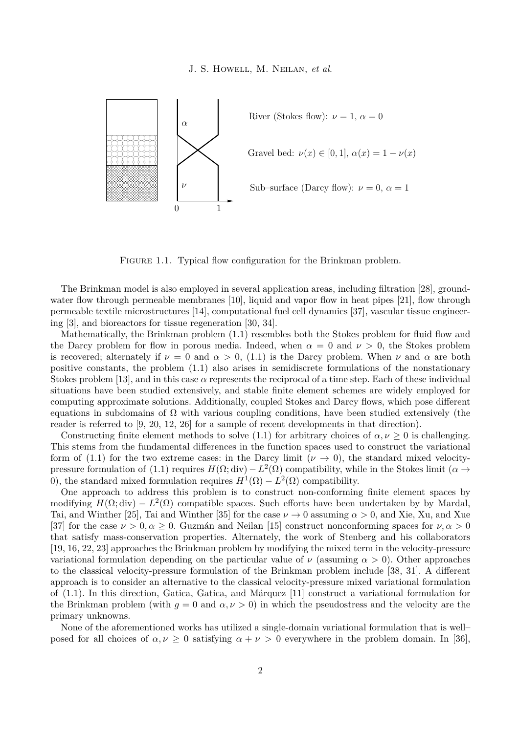<span id="page-2-0"></span>

FIGURE 1.1. Typical flow configuration for the Brinkman problem.

The Brinkman model is also employed in several application areas, including filtration [\[28\]](#page-17-2), groundwater flow through permeable membranes  $[10]$ , liquid and vapor flow in heat pipes  $[21]$ , flow through  $permeable$  textile microstructures  $[14]$ , computational fuel cell dynamics  $[37]$ , vascular tissue engineerbioreactors for tissue regeneration [28, [29\]](#page-17-5). ing [\[3\]](#page-16-6), and bioreactors for tissue regeneration [\[30,](#page-17-4) 34].

Mathematically, the Brinkman problem  $(1.1)$  resembles both the Stokes problem for fluid flow and the Darcy problem for flow in porous media. Indeed, when  $\alpha = 0$  and  $\nu > 0$ , the Stokes problem is recovered; alternately if  $\nu = 0$  and  $\alpha > 0$ , [\(1.1\)](#page-1-0) is the Darcy problem. When  $\nu$  and  $\alpha$  are both positive constants, the problem  $(1.1)$  also arises in semidiscrete formulations of the nonstationary Stokes problem [\[13\]](#page-16-7), and in this case  $\alpha$  represents the reciprocal of a time step. Each of these individual stokes problem  $[10]$ , and in this case a represents the reciprocar of a time step. Each or these marviolations have been studied extensively, and stable finite element schemes are widely employed for computing approximate solutions. Additionally, coupled Stokes and Darcy flows, which pose different computing approximate solutions. Additionally, coupled Stokes and Darcy flows, which pose different equations in subdomains of  $\Omega$  with various coupling conditions, have been studied extensively (the reader is referred to [\[9,](#page-16-8) [20,](#page-16-9) [12,](#page-16-10) [26\]](#page-17-6) for a sample of recent developments in that direction). Mathematically, the Brinkman problem [\(1.1\)](#page-1-0) resembles both the Stokes problem for fluid flow and

Constructing finite element methods to solve [\(1.1\)](#page-1-0) for arbitrary choices of  $\alpha, \nu \geq 0$  is challenging. This stems from the fundamental differences in the function spaces used to construct the variational form of  $(1.1)$  for the two extreme cases: in the Darcy limit  $(\nu \to 0)$ , the standard mixed velocity-pressure formulation of [\(1.1\)](#page-1-0) requires  $H(\Omega; \text{div}) - L^2(\Omega)$  compatibility, while in the Stokes limit ( $\alpha \to$ 0), the standard mixed formulation requires  $H^1(\Omega) - L^2(\Omega)$  compatibility.

One approach to address this problem is to construct non-conforming finite element spaces by modifying  $H(\Omega; \text{div}) - L^2(\Omega)$  compatible spaces. Such efforts have been undertaken by by Mardal, Tai, and Winther [25], Tai and Winther [35] for the case  $\nu \to 0$  assuming  $\alpha > 0$ , and Xie, Xu, and Xue [\[37\]](#page-17-3) for the case  $\nu > 0, \alpha \ge 0$ . Guzmán and Neilan [15] construct nonconforming spaces for  $\nu, \alpha > 0$ that satisfy mass-conservation properties. Alternately, the work of Stenberg and his collaborators [\[19,](#page-16-12) [16,](#page-16-13) [22,](#page-16-14) [23\]](#page-17-9) approaches the Brinkman problem by modifying the mixed term in the velocity-pressure variational formulation depending on the particular value of *ν* (assuming  $\alpha > 0$ ). Other approaches<br>to the classical velocity-pressure formulation of the Brinkman problem include [38, 31]. A different to the classical velocity-pressure formulation of the Brinkman problem include [\[38,](#page-17-10) [31\]](#page-17-11). A different approach is to consider an alternative to the classical velocity-pressure mixed variational formulation of [\(1.1\)](#page-1-0). In this direction, Gatica, Gatica, and Márquez [\[11\]](#page-16-15) construct a variational formulation for the Brinkman problem (with  $q = 0$  and  $\alpha, \nu > 0$ ) in which the pseudostress and the velocity are the primary unknowns.

None of the aforementioned works has utilized a single-domain variational formulation that is well– posed for all choices of  $\alpha, \nu \geq 0$  satisfying  $\alpha + \nu > 0$  everywhere in the problem domain. In [\[36\]](#page-17-12),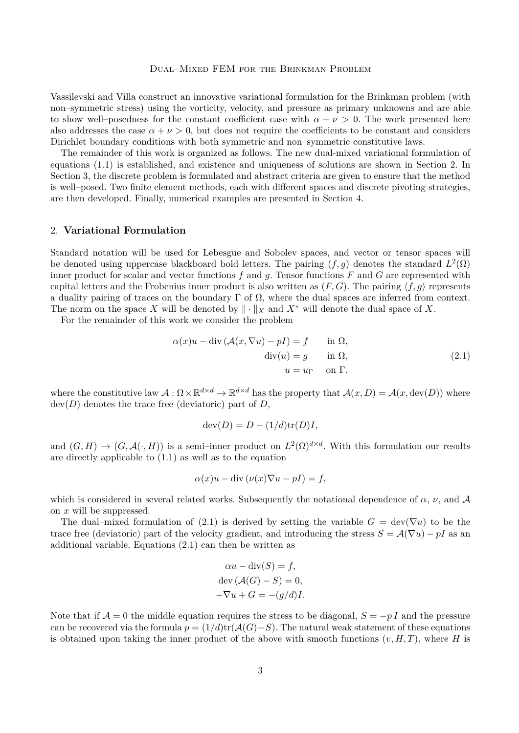Vassilevski and Villa construct an innovative variational formulation for the Brinkman problem (with non–symmetric stress) using the vorticity, velocity, and pressure as primary unknowns and are able to show well–posedness for the constant coefficient case with  $\alpha + \nu > 0$ . The work presented here also addresses the case  $\alpha + \nu > 0$ , but does not require the coefficients to be constant and considers Dirichlet boundary conditions with both symmetric and non–symmetric constitutive laws.

The remainder of this work is organized as follows. The new dual-mixed variational formulation of equations [\(1.1\)](#page-1-0) is established, and existence and uniqueness of solutions are shown in Section [2.](#page-3-0) In Section [3,](#page-6-0) the discrete problem is formulated and abstract criteria are given to ensure that the method is well–posed. Two finite element methods, each with different spaces and discrete pivoting strategies, are then developed. Finally, numerical examples are presented in Section [4.](#page-11-0)

# <span id="page-3-0"></span>2. **Variational Formulation**

Standard notation will be used for Lebesgue and Sobolev spaces, and vector or tensor spaces will be denoted using uppercase blackboard bold letters. The pairing  $(f, g)$  denotes the standard  $L^2(\Omega)$ inner product for scalar and vector functions *f* and *g*. Tensor functions *F* and *G* are represented with capital letters and the Frobenius inner product is also written as  $(F, G)$ . The pairing  $\langle f, g \rangle$  represents a duality pairing of traces on the boundary  $\Gamma$  of  $\Omega$ , where the dual spaces are inferred from context. The norm on the space X will be denoted by  $\|\cdot\|_X$  and  $X^*$  will denote the dual space of X.

For the remainder of this work we consider the problem

$$
\alpha(x)u - \text{div}(\mathcal{A}(x,\nabla u) - pI) = f \quad \text{in } \Omega,
$$
  
\n
$$
\text{div}(u) = g \quad \text{in } \Omega,
$$
  
\n
$$
u = u_{\Gamma} \quad \text{on } \Gamma.
$$
\n(2.1)

where the constitutive law  $\mathcal{A}: \Omega \times \mathbb{R}^{d \times d} \to \mathbb{R}^{d \times d}$  has the property that  $\mathcal{A}(x, D) = \mathcal{A}(x, \text{dev}(D))$  where  $dev(D)$  denotes the trace free (deviatoric) part of  $D$ ,

<span id="page-3-1"></span>
$$
dev(D) = D - (1/d)tr(D)I,
$$

and  $(G, H) \to (G, \mathcal{A}(\cdot, H))$  is a semi-inner product on  $L^2(\Omega)^{d \times d}$ . With this formulation our results are directly applicable to [\(1.1\)](#page-1-0) as well as to the equation

$$
\alpha(x)u - \operatorname{div}(\nu(x)\nabla u - pI) = f,
$$

which is considered in several related works. Subsequently the notational dependence of  $\alpha$ ,  $\nu$ , and A on *x* will be suppressed.

The dual–mixed formulation of [\(2.1\)](#page-3-1) is derived by setting the variable  $G = \text{dev}(\nabla u)$  to be the trace free (deviatoric) part of the velocity gradient, and introducing the stress  $S = \mathcal{A}(\nabla u) - pI$  as an additional variable. Equations [\(2.1\)](#page-3-1) can then be written as

$$
\alpha u - \text{div}(S) = f,
$$
  
dev  $(A(G) - S) = 0$ ,  

$$
-\nabla u + G = -(g/d)I.
$$

Note that if  $\mathcal{A} = 0$  the middle equation requires the stress to be diagonal,  $S = -pI$  and the pressure can be recovered via the formula  $p = (1/d)\text{tr}(\mathcal{A}(G)-S)$ . The natural weak statement of these equations is obtained upon taking the inner product of the above with smooth functions  $(v, H, T)$ , where *H* is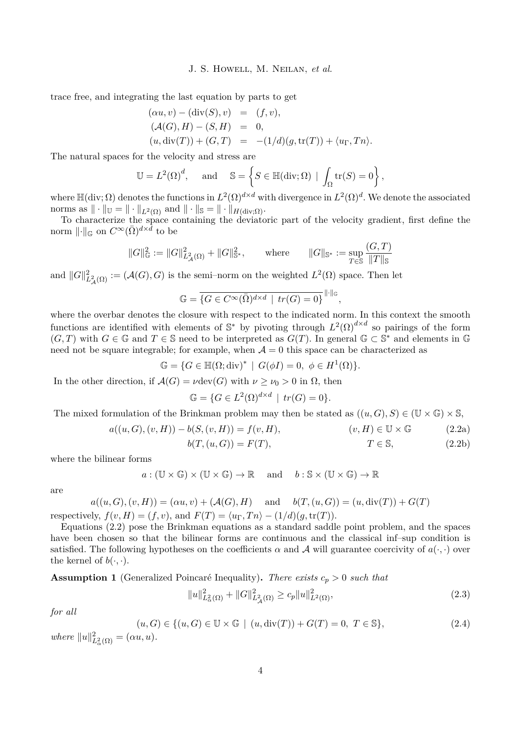trace free, and integrating the last equation by parts to get

$$
\begin{aligned}\n(\alpha u, v) - (\text{div}(S), v) &= (f, v), \\
(\mathcal{A}(G), H) - (S, H) &= 0, \\
(u, \text{div}(T)) + (G, T) &= -(1/d)(g, \text{tr}(T)) + \langle u_{\Gamma}, Tn \rangle.\n\end{aligned}
$$

The natural spaces for the velocity and stress are

$$
\mathbb{U} = L^2(\Omega)^d, \quad \text{and} \quad \mathbb{S} = \left\{ S \in \mathbb{H}(\text{div}; \Omega) \mid \int_{\Omega} \text{tr}(S) = 0 \right\},
$$

where  $\mathbb{H}(\text{div};\Omega)$  denotes the functions in  $L^2(\Omega)^{d\times d}$  with divergence in  $L^2(\Omega)^d$ . We denote the associated norms as  $\|\cdot\|_{\mathbb{U}} = \|\cdot\|_{L^2(\Omega)}$  and  $\|\cdot\|_{\mathbb{S}} = \|\cdot\|_{H(\text{div};\Omega)}$ .

To characterize the space containing the deviatoric part of the velocity gradient, first define the norm  $\lVert \cdot \rVert_{\mathbb{G}}$  on  $C^{\infty}(\bar{\Omega})^{d \times \tilde{d}}$  to be

$$
||G||_{\mathbb{G}}^2 := ||G||_{L^2_{\mathcal{A}}(\Omega)}^2 + ||G||_{\mathbb{S}^*}^2, \quad \text{where} \quad ||G||_{\mathbb{S}^*} := \sup_{T \in \mathbb{S}} \frac{(G, T)}{||T||_{\mathbb{S}}}
$$

and  $||G||^2_{L^2_{\mathcal{A}}(\Omega)} := (\mathcal{A}(G), G)$  is the semi–norm on the weighted  $L^2(\Omega)$  space. Then let

$$
\mathbb{G} = \overline{\{G \in C^{\infty}(\bar{\Omega})^{d \times d} \mid tr(G) = 0\}}^{\|\cdot\|_{\mathbb{G}}}
$$

where the overbar denotes the closure with respect to the indicated norm. In this context the smooth functions are identified with elements of  $\mathbb{S}^*$  by pivoting through  $L^2(\Omega)^{d \times d}$  so pairings of the form  $(G, T)$  with  $G \in \mathbb{G}$  and  $T \in \mathbb{S}$  need to be interpreted as  $G(T)$ . In general  $\mathbb{G} \subset \mathbb{S}^*$  and elements in  $\mathbb{G}$ need not be square integrable; for example, when  $A = 0$  this space can be characterized as

$$
\mathbb{G} = \{ G \in \mathbb{H}(\Omega; \text{div})^* \mid G(\phi I) = 0, \ \phi \in H^1(\Omega) \}.
$$

In the other direction, if  $\mathcal{A}(G) = \nu \text{dev}(G)$  with  $\nu \geq \nu_0 > 0$  in  $\Omega$ , then

$$
\mathbb{G} = \{ G \in L^2(\Omega)^{d \times d} \mid \operatorname{tr}(G) = 0 \}.
$$

The mixed formulation of the Brinkman problem may then be stated as  $((u, G), S) \in (\mathbb{U} \times \mathbb{G}) \times \mathbb{S}$ ,

$$
a((u, G), (v, H)) - b(S, (v, H)) = f(v, H), \qquad (v, H) \in \mathbb{U} \times \mathbb{G}
$$
 (2.2a)

$$
b(T,(u,G)) = F(T), \qquad T \in \mathbb{S}, \qquad (2.2b)
$$

<span id="page-4-0"></span>*,*

where the bilinear forms

$$
a: (\mathbb{U} \times \mathbb{G}) \times (\mathbb{U} \times \mathbb{G}) \to \mathbb{R}
$$
 and  $b: \mathbb{S} \times (\mathbb{U} \times \mathbb{G}) \to \mathbb{R}$ 

are

$$
a((u, G), (v, H)) = (\alpha u, v) + (\mathcal{A}(G), H)
$$
 and  $b(T, (u, G)) = (u, \text{div}(T)) + G(T)$ 

respectively, 
$$
f(v, H) = (f, v)
$$
, and  $F(T) = \langle u_{\Gamma}, Tn \rangle - (1/d)(g, \text{tr}(T))$ .

Equations [\(2.2\)](#page-4-0) pose the Brinkman equations as a standard saddle point problem, and the spaces have been chosen so that the bilinear forms are continuous and the classical inf–sup condition is satisfied. The following hypotheses on the coefficients  $\alpha$  and  $\mathcal A$  will guarantee coercivity of  $a(\cdot, \cdot)$  over the kernel of  $b(\cdot, \cdot)$ .

<span id="page-4-3"></span>**Assumption 1** (Generalized Poincaré Inequality). There exists  $c_p > 0$  such that

<span id="page-4-2"></span>
$$
||u||_{L^2(\Omega)}^2 + ||G||_{L^2(\Omega)}^2 \ge c_p ||u||_{L^2(\Omega)}^2,
$$
\n(2.3)

*for all*

<span id="page-4-1"></span>
$$
(u, G) \in \{ (u, G) \in \mathbb{U} \times \mathbb{G} \mid (u, \text{div}(T)) + G(T) = 0, T \in \mathbb{S} \},\tag{2.4}
$$

 $where$   $||u||_{L^2_{\alpha}(\Omega)}^2 = (\alpha u, u).$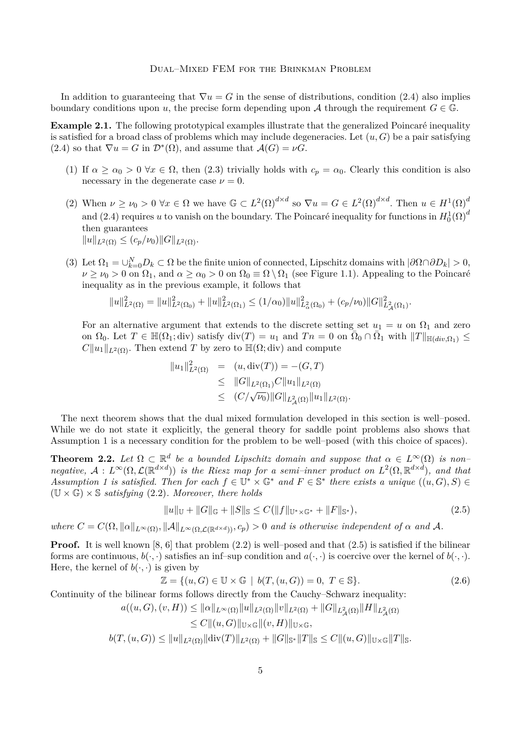In addition to guaranteeing that  $\nabla u = G$  in the sense of distributions, condition [\(2.4\)](#page-4-1) also implies boundary conditions upon *u*, the precise form depending upon *A* through the requirement  $G \in \mathbb{G}$ .

<span id="page-5-2"></span>**Example 2.1.** The following prototypical examples illustrate that the generalized Poincaré inequality is satisfied for a broad class of problems which may include degeneracies. Let  $(u, G)$  be a pair satisfying  $(2.4)$  so that  $\nabla u = G$  in  $\mathcal{D}^*(\Omega)$ , and assume that  $\mathcal{A}(G) = \nu G$ .

- (1) If  $\alpha \ge \alpha_0 > 0$   $\forall x \in \Omega$ , then [\(2.3\)](#page-4-2) trivially holds with  $c_p = \alpha_0$ . Clearly this condition is also necessary in the degenerate case  $\nu = 0$ .
- (2) When  $\nu \geq \nu_0 > 0 \,\forall x \in \Omega$  we have  $\mathbb{G} \subset L^2(\Omega)^{d \times d}$  so  $\nabla u = G \in L^2(\Omega)^{d \times d}$ . Then  $u \in H^1(\Omega)^d$ and [\(2.4\)](#page-4-1) requires *u* to vanish on the boundary. The Poincaré inequality for functions in  $H_0^1(\Omega)^d$ then guarantees  $||u||_{L^2(\Omega)} \le (c_p/\nu_0) ||G||_{L^2(\Omega)}.$
- (3) Let  $\Omega_1 = \bigcup_{k=0}^N D_k \subset \Omega$  be the finite union of connected, Lipschitz domains with  $|\partial \Omega \cap \partial D_k| > 0$ ,  $\nu \geq \nu_0 > 0$  on  $\Omega_1$ , and  $\alpha \geq \alpha_0 > 0$  on  $\Omega_0 \equiv \Omega \setminus \Omega_1$  (see Figure [1.1\)](#page-2-0). Appealing to the Poincaré inequality as in the previous example, it follows that

$$
||u||_{L^{2}(\Omega)}^{2} = ||u||_{L^{2}(\Omega_{0})}^{2} + ||u||_{L^{2}(\Omega_{1})}^{2} \leq (1/\alpha_{0})||u||_{L^{2}_{\alpha}(\Omega_{0})}^{2} + (c_{p}/\nu_{0})||G||_{L^{2}_{\mathcal{A}}(\Omega_{1})}^{2}.
$$

For an alternative argument that extends to the discrete setting set  $u_1 = u$  on  $\Omega_1$  and zero on  $\Omega_0$ . Let  $T \in \mathbb{H}(\Omega_1; \text{div})$  satisfy  $\text{div}(T) = u_1$  and  $T_n = 0$  on  $\overline{\Omega}_0 \cap \overline{\Omega}_1$  with  $||T||_{\mathbb{H}(div,\Omega_1)} \leq$  $C||u_1||_{L^2(\Omega)}$ . Then extend *T* by zero to  $\mathbb{H}(\Omega; \text{div})$  and compute

$$
||u_1||_{L^2(\Omega)}^2 = (u, \text{div}(T)) = -(G, T)
$$
  
\n
$$
\leq ||G||_{L^2(\Omega_1)} C ||u_1||_{L^2(\Omega)}
$$
  
\n
$$
\leq (C/\sqrt{\nu_0}) ||G||_{L^2(\Omega)} ||u_1||_{L^2(\Omega)}.
$$

The next theorem shows that the dual mixed formulation developed in this section is well–posed. While we do not state it explicitly, the general theory for saddle point problems also shows that Assumption [1](#page-4-3) is a necessary condition for the problem to be well–posed (with this choice of spaces).

<span id="page-5-1"></span>**Theorem 2.2.** Let  $\Omega \subset \mathbb{R}^d$  be a bounded Lipschitz domain and suppose that  $\alpha \in L^{\infty}(\Omega)$  is non–  $negative, \mathcal{A}: L^{\infty}(\Omega, \mathcal{L}(\mathbb{R}^{d \times d}))$  *is the Riesz map for a semi–inner product on*  $L^{2}(\Omega, \mathbb{R}^{d \times d})$ *, and that Assumption [1](#page-4-3)* is satisfied. Then for each  $f \in \mathbb{U}^* \times \mathbb{G}^*$  and  $F \in \mathbb{S}^*$  there exists a unique  $((u, G), S) \in$  $(U \times \mathbb{G}) \times \mathbb{S}$  *satisfying* [\(2.2\)](#page-4-0)*. Moreover, there holds* 

<span id="page-5-0"></span>
$$
||u||_{\mathbb{U}} + ||G||_{\mathbb{G}} + ||S||_{\mathbb{S}} \le C(||f||_{\mathbb{U}^*\times\mathbb{G}^*} + ||F||_{\mathbb{S}^*}),
$$
\n(2.5)

*where*  $C = C(\Omega, \|\alpha\|_{L^{\infty}(\Omega)}, \|\mathcal{A}\|_{L^{\infty}(\Omega, \mathcal{L}(\mathbb{R}^{d \times d}))}, c_p) > 0$  *and is otherwise independent of*  $\alpha$  *and*  $\mathcal{A}$ *.* 

**Proof.** It is well known [\[8,](#page-16-16) [6\]](#page-16-17) that problem [\(2.2\)](#page-4-0) is well–posed and that [\(2.5\)](#page-5-0) is satisfied if the bilinear forms are continuous,  $b(\cdot, \cdot)$  satisfies an inf-sup condition and  $a(\cdot, \cdot)$  is coercive over the kernel of  $b(\cdot, \cdot)$ . Here, the kernel of  $b(\cdot, \cdot)$  is given by

$$
\mathbb{Z} = \{(u, G) \in \mathbb{U} \times \mathbb{G} \mid b(T, (u, G)) = 0, T \in \mathbb{S}\}.
$$
\n
$$
(2.6)
$$

Continuity of the bilinear forms follows directly from the Cauchy–Schwarz inequality:

$$
a((u, G), (v, H)) \le ||\alpha||_{L^{\infty}(\Omega)} ||u||_{L^{2}(\Omega)} ||v||_{L^{2}(\Omega)} + ||G||_{L^{2}_{\mathcal{A}}(\Omega)} ||H||_{L^{2}_{\mathcal{A}}(\Omega)}
$$
  

$$
\le C ||(u, G)||_{\mathbb{U}\times\mathbb{G}} ||(v, H)||_{\mathbb{U}\times\mathbb{G}},
$$

$$
b(T,(u,G)) \leq ||u||_{L^{2}(\Omega)}||\text{div}(T)||_{L^{2}(\Omega)} + ||G||_{\mathbb{S}^{*}}||T||_{\mathbb{S}} \leq C||(u,G)||_{\mathbb{U}\times\mathbb{G}}||T||_{\mathbb{S}}.
$$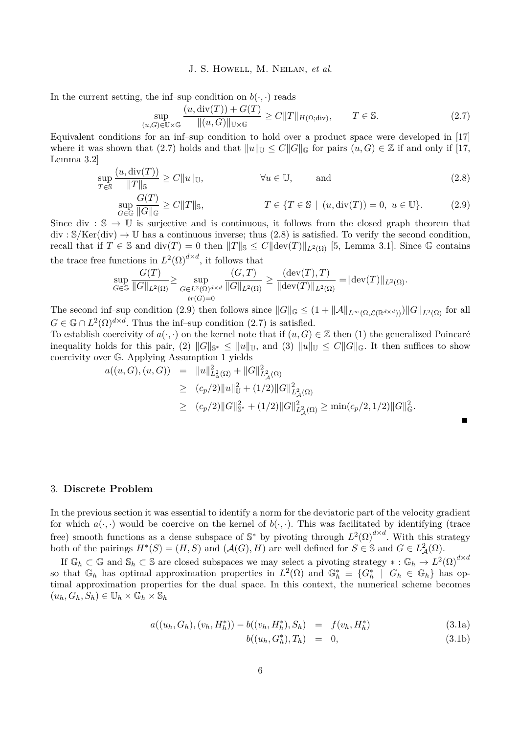In the current setting, the inf–sup condition on  $b(\cdot, \cdot)$  reads

<span id="page-6-1"></span>
$$
\sup_{(u,G)\in\mathbb{U}\times\mathbb{G}}\frac{(u,\operatorname{div}(T))+G(T)}{\|(u,G)\|_{\mathbb{U}\times\mathbb{G}}}\geq C\|T\|_{H(\Omega;\operatorname{div})},\qquad T\in\mathbb{S}.\tag{2.7}
$$

Equivalent conditions for an inf–sup condition to hold over a product space were developed in [\[17\]](#page-16-0) where it was shown that [\(2.7\)](#page-6-1) holds and that  $||u||_{\mathbb{I}\mathbb{I}} \leq C||G||_{\mathbb{G}}$  for pairs  $(u, G) \in \mathbb{Z}$  if and only if [\[17,](#page-16-0) Lemma 3.2]

$$
\sup_{T \in \mathbb{S}} \frac{(u, \text{div}(T))}{\|T\|_{\mathbb{S}}} \ge C \|u\|_{\mathbb{U}}, \qquad \forall u \in \mathbb{U}, \qquad \text{and} \qquad (2.8)
$$
  

$$
\sup_{G \in \mathbb{G}} \frac{G(T)}{\|G\|_{\mathbb{G}}} \ge C \|T\|_{\mathbb{S}}, \qquad T \in \{T \in \mathbb{S} \mid (u, \text{div}(T)) = 0, u \in \mathbb{U}\}. \qquad (2.9)
$$

Since div :  $\mathbb{S} \to \mathbb{U}$  is surjective and is continuous, it follows from the closed graph theorem that  $\text{div} : \mathcal{S}/\text{Ker}(\text{div}) \to \mathbb{U}$  has a continuous inverse; thus [\(2.8\)](#page-6-2) is satisfied. To verify the second condition, recall that if  $T \in \mathbb{S}$  and  $\text{div}(T) = 0$  then  $||T||_{\mathbb{S}} \leq C||\text{dev}(T)||_{L^2(\Omega)}$  [\[5,](#page-16-18) Lemma 3.1]. Since G contains the trace free functions in  $L^2(\Omega)^{d \times d}$ , it follows that

$$
\sup_{G\in\mathbb{G}}\frac{G(T)}{\|G\|_{L^2(\Omega)}}\geq \sup_{\substack{G\in L^2(\Omega)^{d\times d}\\tr(G)=0}}\frac{(G,T)}{\|G\|_{L^2(\Omega)}}\geq \frac{(\text{dev}(T),T)}{\|\text{dev}(T)\|_{L^2(\Omega)}}=\|\text{dev}(T)\|_{L^2(\Omega)}.
$$

The second inf–sup condition [\(2.9\)](#page-6-3) then follows since  $||G||_{\mathbb{G}} \leq (1 + ||\mathcal{A}||_{L^{\infty}(\Omega, \mathcal{L}(\mathbb{R}^{d \times d}))})||G||_{L^{2}(\Omega)}$  for all  $G \in \mathbb{G} \cap L^2(\Omega)^{d \times d}$ . Thus the inf–sup condition  $(2.7)$  is satisfied.

To establish coercivity of  $a(\cdot, \cdot)$  on the kernel note that if  $(u, G) \in \mathbb{Z}$  then (1) the generalized Poincaré inequality holds for this pair, (2)  $||G||_{\mathbb{S}^*} \le ||u||_{\mathbb{U}}$ , and (3)  $||u||_{\mathbb{U}} \le C||G||_{\mathbb{G}}$ . It then suffices to show coercivity over G. Applying Assumption [1](#page-4-3) yields

$$
a((u, G), (u, G)) = ||u||_{L^2_{\alpha}(\Omega)}^2 + ||G||_{L^2_{\mathcal{A}}(\Omega)}^2
$$
  
\n
$$
\geq (c_p/2) ||u||_U^2 + (1/2) ||G||_{L^2_{\mathcal{A}}(\Omega)}^2
$$
  
\n
$$
\geq (c_p/2) ||G||_{\mathbb{S}^*}^2 + (1/2) ||G||_{L^2_{\mathcal{A}}(\Omega)}^2 \geq \min(c_p/2, 1/2) ||G||_{\mathbb{G}}^2.
$$

#### <span id="page-6-0"></span>3. **Discrete Problem**

In the previous section it was essential to identify a norm for the deviatoric part of the velocity gradient for which  $a(\cdot, \cdot)$  would be coercive on the kernel of  $b(\cdot, \cdot)$ . This was facilitated by identifying (trace free) smooth functions as a dense subspace of  $\mathbb{S}^*$  by pivoting through  $L^2(\Omega)^{d \times d}$ . With this strategy both of the pairings  $H^*(S) = (H, S)$  and  $(\mathcal{A}(G), H)$  are well defined for  $S \in \mathbb{S}$  and  $G \in L^2_{\mathcal{A}}(\Omega)$ .

If  $\mathbb{G}_h \subset \mathbb{G}$  and  $\mathbb{S}_h \subset \mathbb{S}$  are closed subspaces we may select a pivoting strategy  $* : \mathbb{G}_h \to L^2(\Omega)^{d \times d}$ so that  $\mathbb{G}_h$  has optimal approximation properties in  $L^2(\Omega)$  and  $\mathbb{G}_h^* \equiv \{G_h^* \mid G_h \in \mathbb{G}_h\}$  has optimal approximation properties for the dual space. In this context, the numerical scheme becomes  $(u_h, G_h, S_h) \in \mathbb{U}_h \times \mathbb{G}_h \times \mathbb{S}_h$ 

<span id="page-6-4"></span>
$$
a((u_h, G_h), (v_h, H_h^*)) - b((v_h, H_h^*), S_h) = f(v_h, H_h^*)
$$
\n(3.1a)

$$
b((u_h, G_h^*), T_h) = 0, \t\t(3.1b)
$$

<span id="page-6-3"></span><span id="page-6-2"></span> $\blacksquare$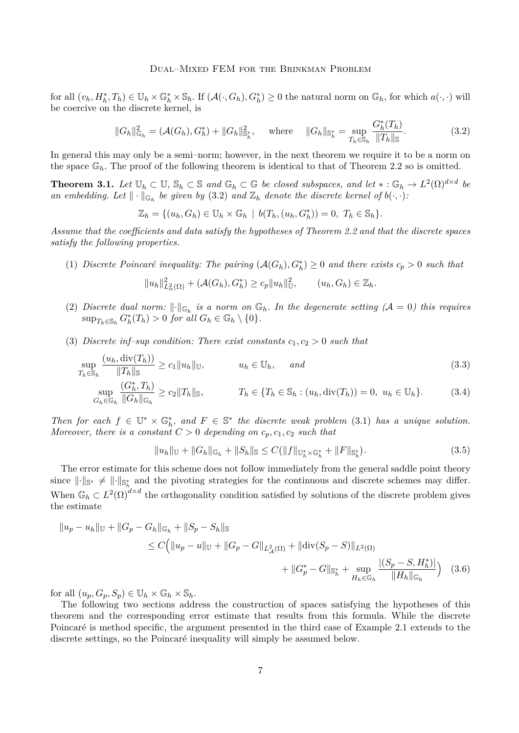for all  $(v_h, H_h^*, T_h) \in \mathbb{U}_h \times \mathbb{G}_h^* \times \mathbb{S}_h$ . If  $(\mathcal{A}(\cdot, G_h), G_h^*) \geq 0$  the natural norm on  $\mathbb{G}_h$ , for which  $a(\cdot, \cdot)$  will be coercive on the discrete kernel, is

<span id="page-7-0"></span>
$$
||G_h||_{\mathbb{G}_h}^2 = (\mathcal{A}(G_h), G_h^*) + ||G_h||_{\mathbb{S}_h^*}^2, \quad \text{where} \quad ||G_h||_{\mathbb{S}_h^*} = \sup_{T_h \in \mathbb{S}_h} \frac{G_h^*(T_h)}{||T_h||_{\mathbb{S}}}.
$$
 (3.2)

In general this may only be a semi–norm; however, in the next theorem we require it to be a norm on the space  $\mathbb{G}_h$ . The proof of the following theorem is identical to that of Theorem [2.2](#page-5-1) so is omitted.

<span id="page-7-2"></span>**Theorem 3.1.** Let  $\mathbb{U}_h \subset \mathbb{U}$ ,  $\mathbb{S}_h \subset \mathbb{S}$  and  $\mathbb{G}_h \subset \mathbb{G}$  be closed subspaces, and let  $* : \mathbb{G}_h \to L^2(\Omega)^{d \times d}$  be *an embedding.* Let  $\|\cdot\|_{\mathbb{G}_h}$  *be given by* [\(3.2\)](#page-7-0) *and*  $\mathbb{Z}_h$  *denote the discrete kernel of*  $b(\cdot, \cdot)$ *:* 

$$
\mathbb{Z}_h = \{ (u_h, G_h) \in \mathbb{U}_h \times \mathbb{G}_h \mid b(T_h, (u_h, G_h^*)) = 0, T_h \in \mathbb{S}_h \}.
$$

*Assume that the coefficients and data satisfy the hypotheses of Theorem [2.2](#page-5-1) and that the discrete spaces satisfy the following properties.*

(1) *Discrete Poincaré inequality: The pairing*  $(A(G_h), G_h^*) \geq 0$  *and there exists*  $c_p > 0$  *such that* 

$$
||u_h||_{L^2(\Omega)}^2 + (\mathcal{A}(G_h), G_h^*) \ge c_p ||u_h||_{\mathbb{U}}^2, \qquad (u_h, G_h) \in \mathbb{Z}_h.
$$

- (2) *Discrete dual norm:*  $\|\cdot\|_{\mathbb{G}_h}$  *is a norm on*  $\mathbb{G}_h$ *. In the degenerate setting (A = 0) this requires*  $\sup_{T_h \in \mathbb{S}_h} G_h^*(T_h) > 0$  *for all*  $G_h \in \mathbb{G}_h \setminus \{0\}.$
- (3) *Discrete inf–sup condition: There exist constants*  $c_1, c_2 > 0$  *such that*

$$
\sup_{T_h \in \mathbb{S}_h} \frac{(u_h, \text{div}(T_h))}{\|T_h\|_{\mathbb{S}}} \ge c_1 \|u_h\|_{\mathbb{U}}, \qquad u_h \in \mathbb{U}_h, \quad \text{and} \tag{3.3}
$$
\n
$$
\sup_{G_h \in \mathbb{G}_h} \frac{(G_h^*, T_h)}{\|G_h\|_{\mathbb{G}_h}} \ge c_2 \|T_h\|_{\mathbb{S}}, \qquad T_h \in \{T_h \in \mathbb{S}_h : (u_h, \text{div}(T_h)) = 0, u_h \in \mathbb{U}_h\}. \tag{3.4}
$$

*Then for each*  $f \in \mathbb{U}^* \times \mathbb{G}_h^*$ , and  $F \in \mathbb{S}^*$  the discrete weak problem [\(3.1\)](#page-6-4) has a unique solution. *Moreover, there is a constant*  $C > 0$  *depending on*  $c_p, c_1, c_2$  *such that* 

<span id="page-7-4"></span><span id="page-7-3"></span><span id="page-7-1"></span>
$$
||u_h||_{\mathbb{U}} + ||G_h||_{\mathbb{G}_h} + ||S_h||_{\mathbb{S}} \le C(||f||_{\mathbb{U}_h^* \times \mathbb{G}_h^*} + ||F||_{\mathbb{S}_h^*}).
$$
\n(3.5)

The error estimate for this scheme does not follow immediately from the general saddle point theory since  $\|\cdot\|_{\mathbb{S}^*} \neq \|\cdot\|_{\mathbb{S}^*}$  and the pivoting strategies for the continuous and discrete schemes may differ. When  $\mathbb{G}_h \subset L^2(\Omega)^{d \times d}$  the orthogonality condition satisfied by solutions of the discrete problem gives the estimate

$$
||u_p - u_h||_{\mathbb{U}} + ||G_p - G_h||_{\mathbb{G}_h} + ||S_p - S_h||_{\mathbb{S}}
$$
  
\n
$$
\leq C \Big( ||u_p - u||_{\mathbb{U}} + ||G_p - G||_{L^2_{\mathcal{A}}(\Omega)} + ||div(S_p - S)||_{L^2(\Omega)} + ||G_p^* - G||_{\mathbb{S}_h^*} + \sup_{H_h \in \mathbb{G}_h} \frac{|(S_p - S, H_h^*)|}{||H_h||_{\mathbb{G}_h}} \Big)
$$
(3.6)

for all  $(u_p, G_p, S_p) \in \mathbb{U}_h \times \mathbb{G}_h \times \mathbb{S}_h$ .

The following two sections address the construction of spaces satisfying the hypotheses of this theorem and the corresponding error estimate that results from this formula. While the discrete Poincaré is method specific, the argument presented in the third case of Example [2.1](#page-5-2) extends to the discrete settings, so the Poincaré inequality will simply be assumed below.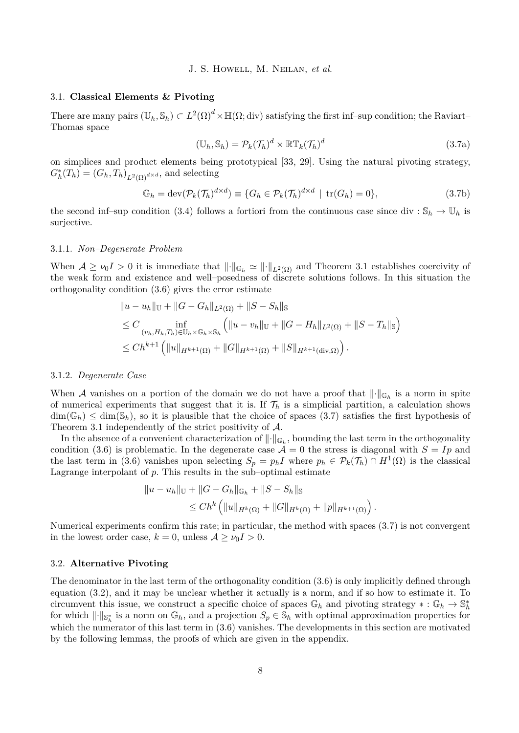# <span id="page-8-1"></span>3.1. **Classical Elements & Pivoting**

<span id="page-8-0"></span>There are many pairs  $(\mathbb{U}_h, \mathbb{S}_h) \subset L^2(\Omega)^d \times \mathbb{H}(\Omega; {\rm div})$  satisfying the first inf–sup condition; the Raviart– Thomas space

$$
(\mathbb{U}_h, \mathbb{S}_h) = \mathcal{P}_k(\mathcal{T}_h)^d \times \mathbb{R} \mathbb{T}_k(\mathcal{T}_h)^d
$$
\n(3.7a)

on simplices and product elements being prototypical [\[33,](#page-17-13) [29\]](#page-17-14). Using the natural pivoting strategy,  $G_h^*(T_h) = (G_h, T_h)_{L^2(\Omega)} d \times d$ , and selecting

$$
\mathbb{G}_h = \text{dev}(\mathcal{P}_k(\mathcal{T}_h)^{d \times d}) \equiv \{ G_h \in \mathcal{P}_k(\mathcal{T}_h)^{d \times d} \mid \text{tr}(G_h) = 0 \},\tag{3.7b}
$$

the second inf–sup condition [\(3.4\)](#page-7-1) follows a fortiori from the continuous case since div :  $\mathbb{S}_h \to \mathbb{U}_h$  is surjective.

#### <span id="page-8-2"></span>3.1.1. *Non–Degenerate Problem*

When  $A \geq \nu_0 I > 0$  it is immediate that  $\lVert \cdot \rVert_{\mathbb{G}_h} \simeq \lVert \cdot \rVert_{L^2(\Omega)}$  and Theorem [3.1](#page-7-2) establishes coercivity of the weak form and existence and well–posedness of discrete solutions follows. In this situation the orthogonality condition [\(3.6\)](#page-7-3) gives the error estimate

$$
||u - u_h||_{\mathbb{U}} + ||G - G_h||_{L^2(\Omega)} + ||S - S_h||_{\mathbb{S}}
$$
  
\n
$$
\leq C \inf_{(v_h, H_h, T_h) \in \mathbb{U}_h \times \mathbb{G}_h \times \mathbb{S}_h} (||u - v_h||_{\mathbb{U}} + ||G - H_h||_{L^2(\Omega)} + ||S - T_h||_{\mathbb{S}})
$$
  
\n
$$
\leq Ch^{k+1} (||u||_{H^{k+1}(\Omega)} + ||G||_{H^{k+1}(\Omega)} + ||S||_{H^{k+1}(\text{div}, \Omega)}).
$$

#### 3.1.2. *Degenerate Case*

When A vanishes on a portion of the domain we do not have a proof that  $\lVert \cdot \rVert_{\mathbb{G}_h}$  is a norm in spite of numerical experiments that suggest that it is. If  $\mathcal{T}_h$  is a simplicial partition, a calculation shows  $\dim(\mathbb{G}_h) \leq \dim(\mathbb{S}_h)$ , so it is plausible that the choice of spaces [\(3.7\)](#page-8-0) satisfies the first hypothesis of Theorem [3.1](#page-7-2) independently of the strict positivity of A.

In the absence of a convenient characterization of  $\|\cdot\|_{\mathbb{G}_h}$ , bounding the last term in the orthogonality condition [\(3.6\)](#page-7-3) is problematic. In the degenerate case  $A = 0$  the stress is diagonal with  $S = Ip$  and the last term in [\(3.6\)](#page-7-3) vanishes upon selecting  $S_p = p_h I$  where  $p_h \in \mathcal{P}_k(\mathcal{T}_h) \cap H^1(\Omega)$  is the classical Lagrange interpolant of  $p$ . This results in the sub-optimal estimate

$$
||u - u_h||_{\mathbb{U}} + ||G - G_h||_{\mathbb{G}_h} + ||S - S_h||_{\mathbb{S}}
$$
  
\n
$$
\leq Ch^k \left( ||u||_{H^k(\Omega)} + ||G||_{H^k(\Omega)} + ||p||_{H^{k+1}(\Omega)} \right).
$$

Numerical experiments confirm this rate; in particular, the method with spaces [\(3.7\)](#page-8-0) is not convergent in the lowest order case,  $k = 0$ , unless  $A \ge \nu_0 I > 0$ .

#### 3.2. **Alternative Pivoting**

The denominator in the last term of the orthogonality condition [\(3.6\)](#page-7-3) is only implicitly defined through equation [\(3.2\)](#page-7-0), and it may be unclear whether it actually is a norm, and if so how to estimate it. To circumvent this issue, we construct a specific choice of spaces  $\mathbb{G}_h$  and pivoting strategy  $*:\mathbb{G}_h \to \mathbb{S}_h^*$ for which  $\|\cdot\|_{\mathbb{S}^*_h}$  is a norm on  $\mathbb{G}_h$ , and a projection  $S_p \in \mathbb{S}_h$  with optimal approximation properties for which the numerator of this last term in [\(3.6\)](#page-7-3) vanishes. The developments in this section are motivated by the following lemmas, the proofs of which are given in the appendix.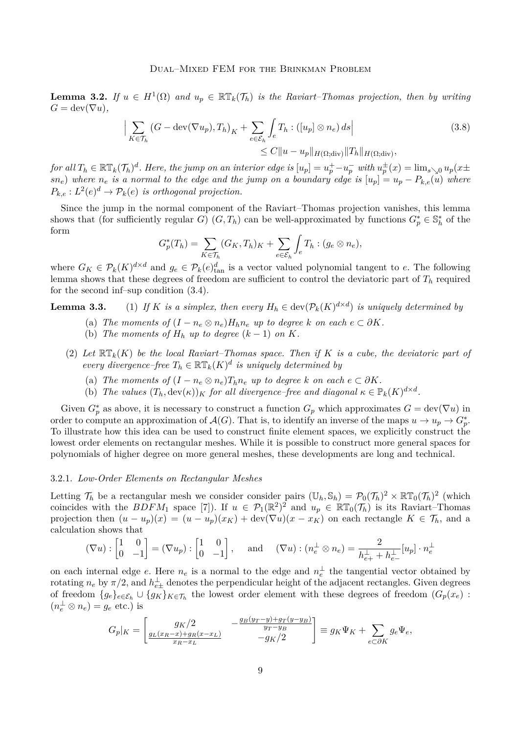<span id="page-9-0"></span>**Lemma 3.2.** *If*  $u \in H^1(\Omega)$  *and*  $u_p \in \mathbb{RT}_k(\mathcal{T}_h)$  *is the Raviart–Thomas projection, then by writing*  $G = \text{dev}(\nabla u)$ ,

$$
\Big| \sum_{K \in \mathcal{T}_h} \left( G - \text{dev}(\nabla u_p), T_h \right)_K + \sum_{e \in \mathcal{E}_h} \int_e T_h : ([u_p] \otimes n_e) \, ds \Big| \tag{3.8}
$$
  

$$
\leq C \| u - u_p \|_{H(\Omega; \text{div})} \| T_h \|_{H(\Omega; \text{div})},
$$

for all  $T_h \in \mathbb{RT}_k(\mathcal{T}_h)^d$ . Here, the jump on an interior edge is  $[u_p]=u_p^+-u_p^-$  with  $u_p^\pm(x)=\lim_{s\searrow 0}u_p(x\pm x)$  $\{sn_e\}$  *where*  $n_e$  *is a normal to the edge and the jump on a boundary edge is*  $[u_p] = u_p - P_{k,e}(u)$  *where*  $P_{k,e}: L^2(e)^d \to \mathcal{P}_k(e)$  *is orthogonal projection.* 

Since the jump in the normal component of the Raviart–Thomas projection vanishes, this lemma shows that (for sufficiently regular *G*)  $(G, T_h)$  can be well-approximated by functions  $G_p^* \in \mathbb{S}_h^*$  of the form

<span id="page-9-2"></span>
$$
G_p^*(T_h) = \sum_{K \in \mathcal{T}_h} (G_K, T_h)_K + \sum_{e \in \mathcal{E}_h} \int_e T_h : (g_e \otimes n_e),
$$

where  $G_K \in \mathcal{P}_k(K)^{d \times d}$  and  $g_e \in \mathcal{P}_k(e)_{\text{tan}}^d$  is a vector valued polynomial tangent to *e*. The following lemma shows that these degrees of freedom are sufficient to control the deviatoric part of *T<sup>h</sup>* required for the second inf–sup condition [\(3.4\)](#page-7-1).

**Lemma 3.3.** (1) *If K is a simplex, then every*  $H_h \in \text{dev}(\mathcal{P}_k(K)^{d \times d})$  *is uniquely determined by* 

- (a) *The moments of*  $(I n_e \otimes n_e)H_h n_e$  *up to degree k on each*  $e \subset \partial K$ *.*
- (b) *The moments of*  $H_h$  *up to degree*  $(k-1)$  *on*  $K$ *.*
- (2) Let  $\mathbb{RT}_k(K)$  be the local Raviart–Thomas space. Then if K is a cube, the deviatoric part of *every divergence–free*  $T_h \in \mathbb{RT}_k(K)^d$  *is uniquely determined by* 
	- (a) *The moments of*  $(I n_e \otimes n_e)T_h n_e$  *up to degree k on each*  $e \subset \partial K$ *.*
	- (b) *The values*  $(T_h, \text{dev}(\kappa))_K$  *for all divergence–free and diagonal*  $\kappa \in \mathbb{P}_k(K)^{d \times d}$ *.*

Given  $G_p^*$  as above, it is necessary to construct a function  $G_p$  which approximates  $G = \text{dev}(\nabla u)$  in order to compute an approximation of  $\mathcal{A}(G)$ . That is, to identify an inverse of the maps  $u \to u_p \to G_p^*$ . To illustrate how this idea can be used to construct finite element spaces, we explicitly construct the lowest order elements on rectangular meshes. While it is possible to construct more general spaces for polynomials of higher degree on more general meshes, these developments are long and technical.

#### <span id="page-9-1"></span>3.2.1. *Low-Order Elements on Rectangular Meshes*

Letting  $\mathcal{T}_h$  be a rectangular mesh we consider consider pairs  $(\mathbb{U}_h, \mathbb{S}_h) = \mathcal{P}_0(\mathcal{T}_h)^2 \times \mathbb{R} \mathbb{T}_0(\mathcal{T}_h)^2$  (which coincides with the  $BDFM_1$  space [\[7\]](#page-16-19)). If  $u \in \mathcal{P}_1(\mathbb{R}^2)^2$  and  $u_p \in \mathbb{RT}_0(\mathcal{T}_h)$  is its Raviart–Thomas projection then  $(u - u_p)(x) = (u - u_p)(x_K) + \text{dev}(\nabla u)(x - x_K)$  on each rectangle  $K \in \mathcal{T}_h$ , and a calculation shows that

$$
(\nabla u) : \begin{bmatrix} 1 & 0 \\ 0 & -1 \end{bmatrix} = (\nabla u_p) : \begin{bmatrix} 1 & 0 \\ 0 & -1 \end{bmatrix}, \text{ and } (\nabla u) : (n_e^{\perp} \otimes n_e) = \frac{2}{h_{e+}^{\perp} + h_{e-}^{\perp}} [u_p] \cdot n_e^{\perp}
$$

on each internal edge *e*. Here  $n_e$  is a normal to the edge and  $n_e^{\perp}$  the tangential vector obtained by  $\tau$  rotating  $n_e$  by  $\pi/2$ , and  $h_{e\pm}^{\perp}$  denotes the perpendicular height of the adjacent rectangles. Given degrees of freedom  ${g_e}_{e \in \mathcal{E}_h} \cup {g_K}_{K \in \mathcal{T}_h}$  the lowest order element with these degrees of freedom  $(G_p(x_e))$ :  $(n_e^{\perp} \otimes n_e) = g_e$  etc.) is

$$
G_p|_K = \begin{bmatrix} g_K/2 & -\frac{g_B(y_T - y) + g_T(y - y_B)}{y_T - y_B} \\ \frac{g_L(x_R - x) + g_R(x - x_L)}{x_R - x_L} & -g_K/2 \end{bmatrix} \equiv g_K \Psi_K + \sum_{e \subset \partial K} g_e \Psi_e,
$$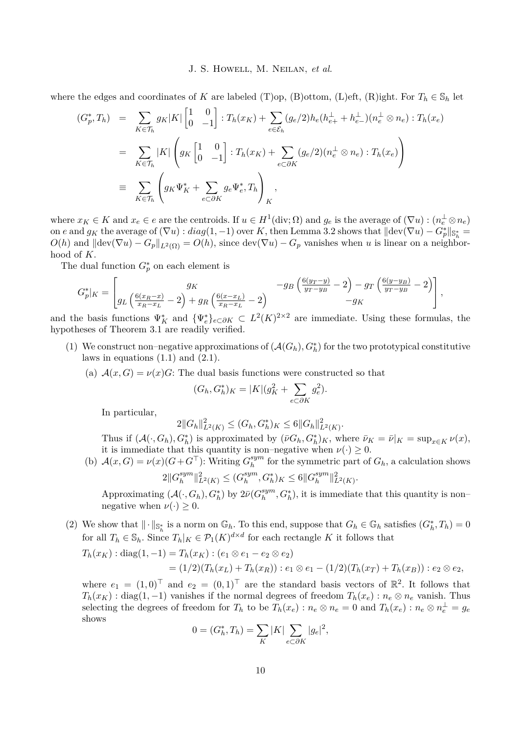where the edges and coordinates of *K* are labeled (T)op, (B)ottom, (L)eft, (R)ight. For  $T_h \in \mathbb{S}_h$  let

$$
(G_p^*, T_h) = \sum_{K \in \mathcal{T}_h} g_K |K| \begin{bmatrix} 1 & 0 \\ 0 & -1 \end{bmatrix} : T_h(x_K) + \sum_{e \in \mathcal{E}_h} (g_e/2) h_e(h_{e+}^{\perp} + h_{e-}^{\perp})(n_e^{\perp} \otimes n_e) : T_h(x_e)
$$
  

$$
= \sum_{K \in \mathcal{T}_h} |K| \left( g_K \begin{bmatrix} 1 & 0 \\ 0 & -1 \end{bmatrix} : T_h(x_K) + \sum_{e \subset \partial K} (g_e/2)(n_e^{\perp} \otimes n_e) : T_h(x_e) \right)
$$
  

$$
\equiv \sum_{K \in \mathcal{T}_h} \left( g_K \Psi_K^* + \sum_{e \subset \partial K} g_e \Psi_e^*, T_h \right)_K,
$$

where  $x_K \in K$  and  $x_e \in e$  are the centroids. If  $u \in H^1(\text{div}; \Omega)$  and  $g_e$  is the average of  $(\nabla u) : (n_e^{\perp} \otimes n_e)$ on *e* and  $g_K$  the average of  $(\nabla u)$ :  $diag(1, -1)$  over K, then Lemma [3.2](#page-9-0) shows that  $\|\text{dev}(\nabla u) - G^*_p\|_{\mathbb{S}^*_h} =$  $O(h)$  and  $\|\text{dev}(\nabla u) - G_p\|_{L^2(\Omega)} = O(h)$ , since  $\text{dev}(\nabla u) - G_p$  vanishes when *u* is linear on a neighborhood of *K*.

The dual function  $G_p^*$  on each element is

$$
G_p^*|_K = \left[g_L\left(\frac{6(x_R-x)}{x_R-x_L}-2\right)+g_R\left(\frac{6(x-x_L)}{x_R-x_L}-2\right)\right] - g_B\left(\frac{6(y_T-y)}{y_T-y_B}-2\right)-g_T\left(\frac{6(y-y_B)}{y_T-y_B}-2\right)\right],
$$

and the basis functions  $\Psi_K^*$  and  $\{\Psi_e^*\}_{e \subset \partial K} \subset L^2(K)^{2 \times 2}$  are immediate. Using these formulas, the hypotheses of Theorem [3.1](#page-7-2) are readily verified.

- (1) We construct non–negative approximations of  $(\mathcal{A}(G_h), G_h^*)$  for the two prototypical constitutive laws in equations  $(1.1)$  and  $(2.1)$ .
	- (a)  $\mathcal{A}(x, G) = \nu(x)G$ : The dual basis functions were constructed so that

$$
(G_h, G_h^*)_K = |K|(g_K^2 + \sum_{e \subset \partial K} g_e^2).
$$

In particular,

$$
2||G_h||_{L^2(K)}^2 \le (G_h, G_h^*)_K \le 6||G_h||_{L^2(K)}^2.
$$

Thus if  $(\mathcal{A}(\cdot, G_h), G_h^*)$  is approximated by  $(\bar{\nu}G_h, G_h^*)_K$ , where  $\bar{\nu}_K = \bar{\nu}|_K = \sup_{x \in K} \nu(x)$ , it is immediate that this quantity is non–negative when  $\nu(\cdot) \geq 0$ .

(b)  $\mathcal{A}(x, G) = \nu(x) (G + G^{\top})$ : Writing  $G_h^{sym}$  $\frac{sym}{h}$  for the symmetric part of  $G_h$ , a calculation shows  $2\|G_h^{sym}$  $\|h\|_{L^2(K)}^2 \leq (G_h^{sym})$  $\binom{sym}{h}, G_h^*$ <sub>*K*</sub>  $\leq 6$  $\|G_h^{sym}$  $\|h^{sym}\|_{L^{2}(K)}^{2}.$ 

Approximating  $(\mathcal{A}(\cdot, G_h), G_h^*)$  by  $2\bar{\nu}(G_h^{sym})$  $\binom{sym}{h}, G_h^*$ , it is immediate that this quantity is non– negative when  $\nu(\cdot) > 0$ .

(2) We show that  $\|\cdot\|_{\mathbb{S}^*_h}$  is a norm on  $\mathbb{G}_h$ . To this end, suppose that  $G_h \in \mathbb{G}_h$  satisfies  $(G_h^*, T_h) = 0$ for all  $T_h \in \mathbb{S}_h$ . Since  $T_h|_K \in \mathcal{P}_1(K)^{d \times d}$  for each rectangle K it follows that

$$
T_h(x_K) : diag(1,-1) = T_h(x_K) : (e_1 \otimes e_1 - e_2 \otimes e_2)
$$
  
=  $(1/2)(T_h(x_L) + T_h(x_R)) : e_1 \otimes e_1 - (1/2)(T_h(x_T) + T_h(x_B)) : e_2 \otimes e_2,$ 

where  $e_1 = (1,0)^\top$  and  $e_2 = (0,1)^\top$  are the standard basis vectors of  $\mathbb{R}^2$ . It follows that  $T_h(x_K)$  : diag(1*,* −1) vanishes if the normal degrees of freedom  $T_h(x_e)$  :  $n_e \otimes n_e$  vanish. Thus selecting the degrees of freedom for  $T_h$  to be  $T_h(x_e)$ :  $n_e \otimes n_e = 0$  and  $T_h(x_e)$ :  $n_e \otimes n_e^{\perp} = g_e$ shows

$$
0 = (G_h^*, T_h) = \sum_K |K| \sum_{e \subset \partial K} |g_e|^2,
$$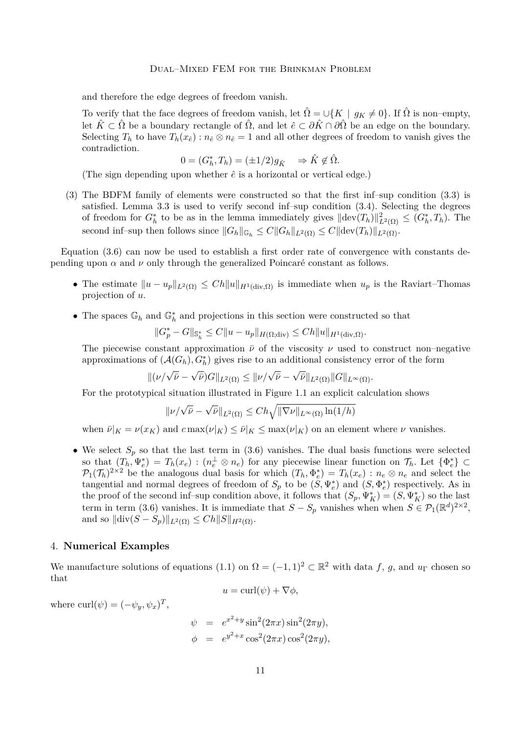and therefore the edge degrees of freedom vanish.

To verify that the face degrees of freedom vanish, let  $\hat{\Omega} = \cup \{K \mid g_K \neq 0\}$ . If  $\hat{\Omega}$  is non–empty, let  $\hat{K} \subset \hat{\Omega}$  be a boundary rectangle of  $\hat{\Omega}$ , and let  $\hat{e} \subset \partial \hat{K} \cap \partial \hat{\Omega}$  be an edge on the boundary. Selecting  $T_h$  to have  $T_h(x_{\hat{e}})$ :  $n_{\hat{e}} \otimes n_{\hat{e}} = 1$  and all other degrees of freedom to vanish gives the contradiction.

$$
0 = (G_h^*, T_h) = (\pm 1/2)g_{\hat{K}} \Rightarrow \hat{K} \notin \hat{\Omega}.
$$

(The sign depending upon whether  $\hat{e}$  is a horizontal or vertical edge.)

(3) The BDFM family of elements were constructed so that the first inf–sup condition [\(3.3\)](#page-7-4) is satisfied. Lemma [3.3](#page-0-0) is used to verify second inf–sup condition [\(3.4\)](#page-7-1). Selecting the degrees of freedom for  $G_h^*$  to be as in the lemma immediately gives  $\|\text{dev}(T_h)\|_{L^2(\Omega)}^2 \leq (G_h^*, T_h)$ . The second inf–sup then follows since  $||G_h||_{\mathbb{G}_h} \leq C||G_h||_{L^2(\Omega)} \leq C||\text{dev}(T_h)||_{L^2(\Omega)}$ .

Equation [\(3.6\)](#page-7-3) can now be used to establish a first order rate of convergence with constants depending upon  $\alpha$  and  $\nu$  only through the generalized Poincaré constant as follows.

- The estimate  $||u u_p||_{L^2(\Omega)} \leq Ch||u||_{H^1(\text{div},\Omega)}$  is immediate when  $u_p$  is the Raviart–Thomas projection of *u*.
- The spaces  $\mathbb{G}_h$  and  $\mathbb{G}_h^*$  and projections in this section were constructed so that

$$
\|G_p^*-G\|_{{\mathbb S}^*_h}\leq C\|u-u_p\|_{H(\Omega;{\rm div})}\leq Ch\|u\|_{H^1({\rm div},\Omega)}.
$$

The piecewise constant approximation  $\bar{\nu}$  of the viscosity  $\nu$  used to construct non–negative approximations of  $(\mathcal{A}(G_h), G_h^*)$  gives rise to an additional consistency error of the form

$$
\|(\nu/\sqrt{\bar{\nu}}-\sqrt{\bar{\nu}})G\|_{L^2(\Omega)} \leq \|\nu/\sqrt{\bar{\nu}}-\sqrt{\bar{\nu}}\|_{L^2(\Omega)}\|G\|_{L^{\infty}(\Omega)}.
$$

For the prototypical situation illustrated in Figure [1.1](#page-2-0) an explicit calculation shows

$$
\|\nu/\sqrt{\bar{\nu}}-\sqrt{\bar{\nu}}\|_{L^2(\Omega)}\leq Ch\sqrt{\|\nabla\nu\|_{L^\infty(\Omega)}\ln(1/h)}
$$

when  $\bar{\nu}|_K = \nu(x_K)$  and  $c \max(\nu|_K) \leq \bar{\nu}|_K \leq \max(\nu|_K)$  on an element where  $\nu$  vanishes.

• We select  $S_p$  so that the last term in  $(3.6)$  vanishes. The dual basis functions were selected so that  $(T_h, \Psi_e^*) = T_h(x_e) : (n_e^{\perp} \otimes n_e)$  for any piecewise linear function on  $\mathcal{T}_h$ . Let  $\{\Phi_e^*\}\subset$  $\mathcal{P}_1(\mathcal{T}_h)^{2\times 2}$  be the analogous dual basis for which  $(T_h, \Phi_e^*) = T_h(x_e) : n_e \otimes n_e$  and select the tangential and normal degrees of freedom of  $S_p$  to be  $(S, \Psi_e^*)$  and  $(S, \Phi_e^*)$  respectively. As in the proof of the second inf–sup condition above, it follows that  $(S_p, \Psi_K^*) = (S, \Psi_K^*)$  so the last term in term [\(3.6\)](#page-7-3) vanishes. It is immediate that  $S - S_p$  vanishes when when  $S \in \mathcal{P}_1(\mathbb{R}^d)^{2 \times 2}$ , and so  $\|\text{div}(S - S_p)\|_{L^2(\Omega)} \le Ch \|S\|_{H^2(\Omega)}$ .

# <span id="page-11-0"></span>4. **Numerical Examples**

We manufacture solutions of equations  $(1.1)$  on  $\Omega = (-1,1)^2 \subset \mathbb{R}^2$  with data f, g, and  $u_{\Gamma}$  chosen so that

$$
u = \operatorname{curl}(\psi) + \nabla \phi,
$$

where  $\operatorname{curl}(\psi) = (-\psi_y, \psi_x)^T$ ,

$$
\psi = e^{x^2 + y} \sin^2(2\pi x) \sin^2(2\pi y), \n\phi = e^{y^2 + x} \cos^2(2\pi x) \cos^2(2\pi y),
$$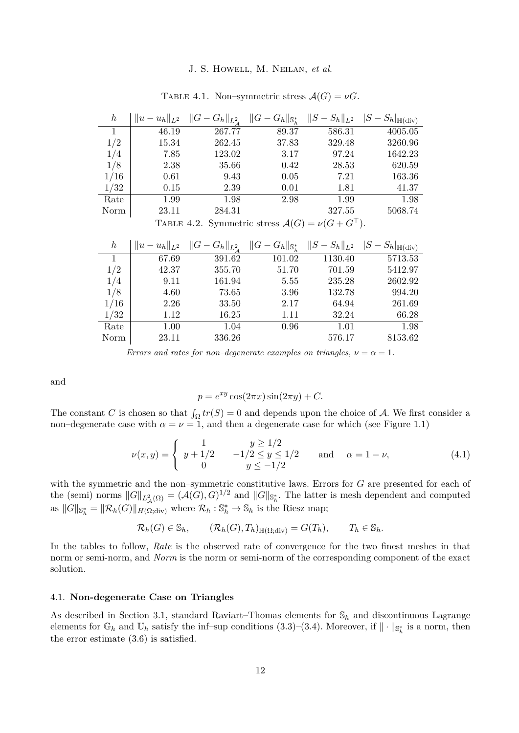<span id="page-12-1"></span>

| $\boldsymbol{h}$ | $  u -$<br>$\parallel$ $L^2$ | $G_h\ _{L^2}$ | $G_h\ _{\mathbb{S}_h^*}$ | $S_h\ _{L^2}$ | $-S_h _{\mathbb{H}(\text{div})}$ |
|------------------|------------------------------|---------------|--------------------------|---------------|----------------------------------|
|                  | 46.19                        | 267.77        | 89.37                    | 586.31        | 4005.05                          |
| 1/2              | 15.34                        | 262.45        | 37.83                    | 329.48        | 3260.96                          |
| 1/4              | 7.85                         | 123.02        | 3.17                     | 97.24         | 1642.23                          |
| 1/8              | 2.38                         | 35.66         | 0.42                     | 28.53         | 620.59                           |
| 1/16             | 0.61                         | 9.43          | 0.05                     | 7.21          | 163.36                           |
| 1/32             | 0.15                         | 2.39          | 0.01                     | 1.81          | 41.37                            |
| Rate             | 1.99                         | 1.98          | 2.98                     | 1.99          | 1.98                             |
| Norm             | 23.11                        | 284.31        |                          | 327.55        | 5068.74                          |
|                  |                              |               |                          |               |                                  |

TABLE 4.1. Non–symmetric stress  $\mathcal{A}(G) = \nu G$ .

TABLE 4.2. Symmetric stress  $\mathcal{A}(G) = \nu(G + G^{\top}).$ 

| $\hbar$ | $  u - u_h  _{L^2}$ | $  G - G_h  _{L^2_A}$ | $  G - G_h  _{\mathbb{S}_h^*}$ | $  S - S_h  _{L^2}$ | $ S-S_h _{\mathbb{H}(\text{div})}$ |
|---------|---------------------|-----------------------|--------------------------------|---------------------|------------------------------------|
|         | 67.69               | 391.62                | 101.02                         | 1130.40             | 5713.53                            |
| 1/2     | 42.37               | 355.70                | 51.70                          | 701.59              | 5412.97                            |
| 1/4     | 9.11                | 161.94                | 5.55                           | 235.28              | 2602.92                            |
| 1/8     | 4.60                | 73.65                 | 3.96                           | 132.78              | 994.20                             |
| 1/16    | 2.26                | 33.50                 | 2.17                           | 64.94               | 261.69                             |
| 1/32    | 1.12                | 16.25                 | 1.11                           | 32.24               | 66.28                              |
| Rate    | 1.00                | 1.04                  | 0.96                           | 1.01                | 1.98                               |
| Norm    | 23.11               | 336.26                |                                | 576.17              | 8153.62                            |

*Errors and rates for non–degenerate examples on triangles,*  $\nu = \alpha = 1$ *.* 

and

$$
p = e^{xy} \cos(2\pi x) \sin(2\pi y) + C.
$$

The constant *C* is chosen so that  $\int_{\Omega} tr(S) = 0$  and depends upon the choice of A. We first consider a non–degenerate case with  $\alpha = \nu = 1$ , and then a degenerate case for which (see Figure [1.1\)](#page-2-0)

<span id="page-12-0"></span>
$$
\nu(x,y) = \begin{cases}\n1 & y \ge 1/2 \\
y + 1/2 & -1/2 \le y \le 1/2 \\
0 & y \le -1/2\n\end{cases} \text{ and } \alpha = 1 - \nu,\n\tag{4.1}
$$

with the symmetric and the non–symmetric constitutive laws. Errors for *G* are presented for each of the (semi) norms  $||G||_{L^2_{\mathcal{A}}(\Omega)} = (\mathcal{A}(G), G)^{1/2}$  and  $||G||_{\mathbb{S}^*_h}$ . The latter is mesh dependent and computed as  $||G||_{\mathbb{S}_h^*} = ||\mathcal{R}_h(G)||_{H(\Omega; \text{div})}$  where  $\mathcal{R}_h : \mathbb{S}_h^* \to \mathbb{S}_h$  is the Riesz map;

$$
\mathcal{R}_h(G) \in \mathbb{S}_h
$$
,  $(\mathcal{R}_h(G), T_h)_{\mathbb{H}(\Omega; \text{div})} = G(T_h)$ ,  $T_h \in \mathbb{S}_h$ .

In the tables to follow, *Rate* is the observed rate of convergence for the two finest meshes in that norm or semi-norm, and *Norm* is the norm or semi-norm of the corresponding component of the exact solution.

### 4.1. **Non-degenerate Case on Triangles**

As described in Section [3.1,](#page-8-1) standard Raviart–Thomas elements for S*<sup>h</sup>* and discontinuous Lagrange elements for  $\mathbb{G}_h$  and  $\mathbb{U}_h$  satisfy the inf–sup conditions [\(3.3\)](#page-7-4)–[\(3.4\)](#page-7-1). Moreover, if  $\|\cdot\|_{\mathbb{S}_h^*}$  is a norm, then the error estimate [\(3.6\)](#page-7-3) is satisfied.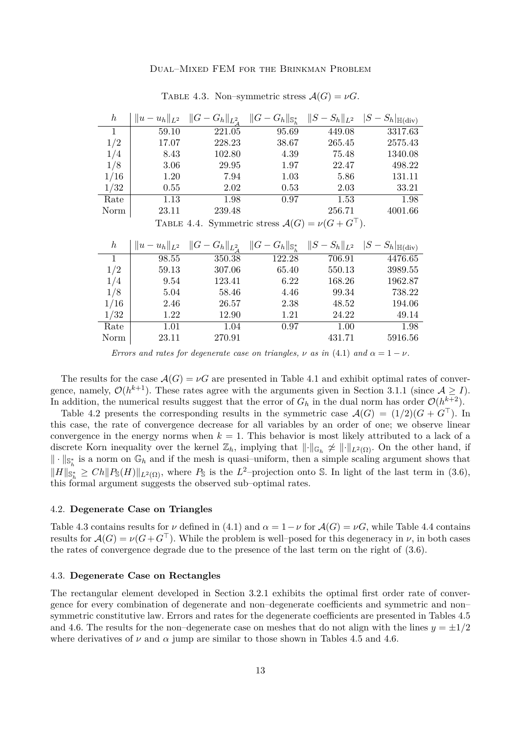<span id="page-13-0"></span>

| $\boldsymbol{h}$ | $  u - u_h  _{L^2}$ | $  G -$<br>$G_h  _{L^2}$ | $  G -$<br>$G_h\ _{\mathbb{S}_h^*}$ | $S_h\ _{L^2}$ | $ S-S_h _{\mathbb{H}(\text{div})}$ |
|------------------|---------------------|--------------------------|-------------------------------------|---------------|------------------------------------|
| 1                | 59.10               | 221.05                   | 95.69                               | 449.08        | 3317.63                            |
| 1/2              | 17.07               | 228.23                   | 38.67                               | 265.45        | 2575.43                            |
| 1/4              | 8.43                | 102.80                   | 4.39                                | 75.48         | 1340.08                            |
| 1/8              | 3.06                | 29.95                    | 1.97                                | 22.47         | 498.22                             |
| 1/16             | 1.20                | 7.94                     | 1.03                                | 5.86          | 131.11                             |
| 1/32             | 0.55                | 2.02                     | 0.53                                | 2.03          | 33.21                              |
| Rate             | 1.13                | 1.98                     | 0.97                                | 1.53          | 1.98                               |
| Norm             | 23.11               | 239.48                   |                                     | 256.71        | 4001.66                            |

#### TABLE 4.3. Non–symmetric stress  $\mathcal{A}(G) = \nu G$ .

TABLE 4.4. Symmetric stress  $\mathcal{A}(G) = \nu(G + G^{\top}).$ 

| $\boldsymbol{h}$ | $u_h  _{L^2}$<br>$  u -$ | $  G - G_h  _{L^2_{A}}$ | $\ G -$<br>$G_h  _{\mathbb{S}_h^*}$ | $  S -$<br>$S_h\ _{L^2}$ | $-S_h _{\mathbb{H}(\text{div})}$ |
|------------------|--------------------------|-------------------------|-------------------------------------|--------------------------|----------------------------------|
|                  | 98.55                    | 350.38                  | 122.28                              | 706.91                   | 4476.65                          |
| 1/2              | 59.13                    | 307.06                  | 65.40                               | 550.13                   | 3989.55                          |
| 1/4              | 9.54                     | 123.41                  | 6.22                                | 168.26                   | 1962.87                          |
| 1/8              | 5.04                     | 58.46                   | 4.46                                | 99.34                    | 738.22                           |
| 1/16             | 2.46                     | 26.57                   | 2.38                                | 48.52                    | 194.06                           |
| 1/32             | 1.22                     | 12.90                   | 1.21                                | 24.22                    | 49.14                            |
| Rate             | 1.01                     | 1.04                    | 0.97                                | 1.00                     | 1.98                             |
| Norm             | 23.11                    | 270.91                  |                                     | 431.71                   | 5916.56                          |

*Errors and rates for degenerate case on triangles,*  $\nu$  *as in* [\(4.1\)](#page-12-0) *and*  $\alpha = 1 - \nu$ .

The results for the case  $\mathcal{A}(G) = \nu G$  are presented in Table [4.1](#page-12-1) and exhibit optimal rates of convergence, namely,  $\mathcal{O}(h^{k+1})$ . These rates agree with the arguments given in Section [3.1.1](#page-8-2) (since  $\mathcal{A} \geq I$ ). In addition, the numerical results suggest that the error of  $G_h$  in the dual norm has order  $\mathcal{O}(h^{k+2})$ .

Table [4.2](#page-12-1) presents the corresponding results in the symmetric case  $\mathcal{A}(G) = (1/2)(G + G^{\top})$ . In this case, the rate of convergence decrease for all variables by an order of one; we observe linear convergence in the energy norms when  $k = 1$ . This behavior is most likely attributed to a lack of a discrete Korn inequality over the kernel  $\mathbb{Z}_h$ , implying that  $\|\cdot\|_{\mathbb{G}_h} \not\approx \|\cdot\|_{L^2(\Omega)}$ . On the other hand, if  $\|\cdot\|_{\mathbb{S}^*_h}$  is a norm on  $\mathbb{G}_h$  and if the mesh is quasi-uniform, then a simple scaling argument shows that  $||H||_{\mathbb{S}_{h}^{*}} \geq Ch||P_{\mathbb{S}}(H)||_{L^{2}(\Omega)}$ , where  $P_{\mathbb{S}}$  is the *L*<sup>2</sup>–projection onto S. In light of the last term in [\(3.6\)](#page-7-3), this formal argument suggests the observed sub–optimal rates.

#### 4.2. **Degenerate Case on Triangles**

Table [4.3](#page-13-0) contains results for *ν* defined in [\(4.1\)](#page-12-0) and  $\alpha = 1 - \nu$  for  $\mathcal{A}(G) = \nu G$ , while Table [4.4](#page-13-0) contains results for  $\mathcal{A}(G) = \nu(G + G^{\top})$ . While the problem is well–posed for this degeneracy in  $\nu$ , in both cases the rates of convergence degrade due to the presence of the last term on the right of [\(3.6\)](#page-7-3).

#### 4.3. **Degenerate Case on Rectangles**

The rectangular element developed in Section [3.2.1](#page-9-1) exhibits the optimal first order rate of convergence for every combination of degenerate and non–degenerate coefficients and symmetric and non– symmetric constitutive law. Errors and rates for the degenerate coefficients are presented in Tables [4.5](#page-14-0) and [4.6.](#page-14-0) The results for the non–degenerate case on meshes that do not align with the lines  $y = \pm 1/2$ where derivatives of  $\nu$  and  $\alpha$  jump are similar to those shown in Tables [4.5](#page-14-0) and [4.6.](#page-14-0)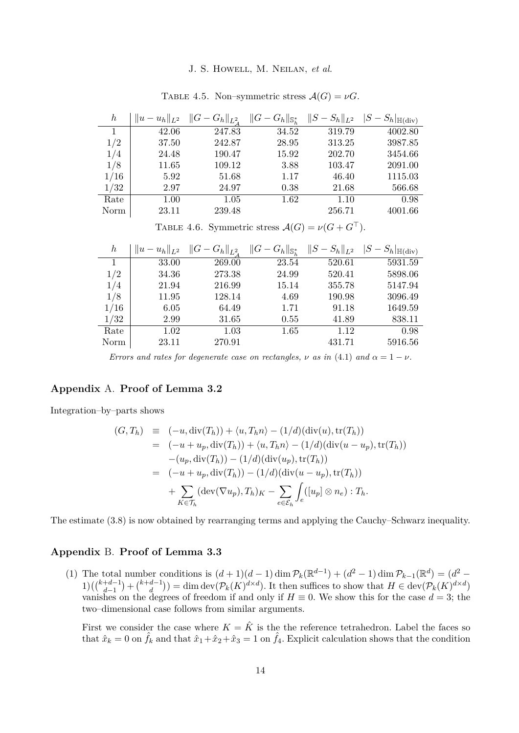<span id="page-14-0"></span>

| $\boldsymbol{h}$ | $  T_2  $ | $G_h\ _{L^2}$ | $G_h _{\mathbb{S}_h^*}$ | $S_h\ _{L^2}$ | $-S_h _{\mathbb{H}(\text{div})}$ |
|------------------|-----------|---------------|-------------------------|---------------|----------------------------------|
|                  | 42.06     | 247.83        | 34.52                   | 319.79        | 4002.80                          |
| 1/2              | 37.50     | 242.87        | 28.95                   | 313.25        | 3987.85                          |
| 1/4              | 24.48     | 190.47        | 15.92                   | 202.70        | 3454.66                          |
| 1/8              | 11.65     | 109.12        | 3.88                    | 103.47        | 2091.00                          |
| 1/16             | 5.92      | 51.68         | 1.17                    | 46.40         | 1115.03                          |
| 1/32             | 2.97      | 24.97         | 0.38                    | 21.68         | 566.68                           |
| Rate             | 1.00      | 1.05          | 1.62                    | 1.10          | 0.98                             |
| Norm             | 23.11     | 239.48        |                         | 256.71        | 4001.66                          |

TABLE 4.5. Non–symmetric stress  $\mathcal{A}(G) = \nu G$ .

TABLE 4.6. Symmetric stress  $\mathcal{A}(G) = \nu(G + G^{\top}).$ 

| $\boldsymbol{h}$ | $  u - u_h  _{L^2}$ | $  G - G_h  _{L^2_A}$ | $  G - G_h  _{\mathbb{S}_h^*}$ | $  S - S_h  _{L^2}$ | $ S-S_h _{\mathbb{H}(\text{div})}$ |
|------------------|---------------------|-----------------------|--------------------------------|---------------------|------------------------------------|
| 1                | 33.00               | 269.00                | 23.54                          | 520.61              | 5931.59                            |
| 1/2              | 34.36               | 273.38                | 24.99                          | 520.41              | 5898.06                            |
| 1/4              | 21.94               | 216.99                | 15.14                          | 355.78              | 5147.94                            |
| 1/8              | 11.95               | 128.14                | 4.69                           | 190.98              | 3096.49                            |
| 1/16             | 6.05                | 64.49                 | 1.71                           | 91.18               | 1649.59                            |
| 1/32             | 2.99                | 31.65                 | 0.55                           | 41.89               | 838.11                             |
| Rate             | 1.02                | 1.03                  | 1.65                           | 1.12                | 0.98                               |
| Norm             | 23.11               | 270.91                |                                | 431.71              | 5916.56                            |

*Errors and rates for degenerate case on rectangles,*  $\nu$  *as in* [\(4.1\)](#page-12-0) *and*  $\alpha = 1 - \nu$ .

# **Appendix** A. **Proof of Lemma [3.2](#page-9-0)**

Integration–by–parts shows

$$
(G, T_h) \equiv (-u, \text{div}(T_h)) + \langle u, T_h n \rangle - (1/d)(\text{div}(u), \text{tr}(T_h))
$$
  
\n
$$
= (-u + u_p, \text{div}(T_h)) + \langle u, T_h n \rangle - (1/d)(\text{div}(u - u_p), \text{tr}(T_h))
$$
  
\n
$$
- (u_p, \text{div}(T_h)) - (1/d)(\text{div}(u_p), \text{tr}(T_h))
$$
  
\n
$$
= (-u + u_p, \text{div}(T_h)) - (1/d)(\text{div}(u - u_p), \text{tr}(T_h))
$$
  
\n
$$
+ \sum_{K \in \mathcal{T}_h} (\text{dev}(\nabla u_p), T_h)_K - \sum_{e \in \mathcal{E}_h} \int_e ([u_p] \otimes n_e) : T_h.
$$

The estimate [\(3.8\)](#page-9-2) is now obtained by rearranging terms and applying the Cauchy–Schwarz inequality.

# **Appendix** B. **Proof of Lemma [3.3](#page-0-0)**

(1) The total number conditions is  $(d+1)(d-1)\dim \mathcal{P}_k(\mathbb{R}^{d-1}) + (d^2-1)\dim \mathcal{P}_{k-1}(\mathbb{R}^d) = (d^2-1)d!$  $1)$  $\left(\binom{k+d-1}{d-1} + \binom{k+d-1}{d} \right)$  $\binom{d-1}{d}$  = dim dev( $\mathcal{P}_k(K)^{d \times d}$ ). It then suffices to show that  $H \in \text{dev}(\mathcal{P}_k(K)^{d \times d})$ vanishes on the degrees of freedom if and only if  $H \equiv 0$ . We show this for the case  $d = 3$ ; the two–dimensional case follows from similar arguments.

First we consider the case where  $K = \hat{K}$  is the the reference tetrahedron. Label the faces so that  $\hat{x}_k = 0$  on  $\hat{f}_k$  and that  $\hat{x}_1 + \hat{x}_2 + \hat{x}_3 = 1$  on  $\hat{f}_4$ . Explicit calculation shows that the condition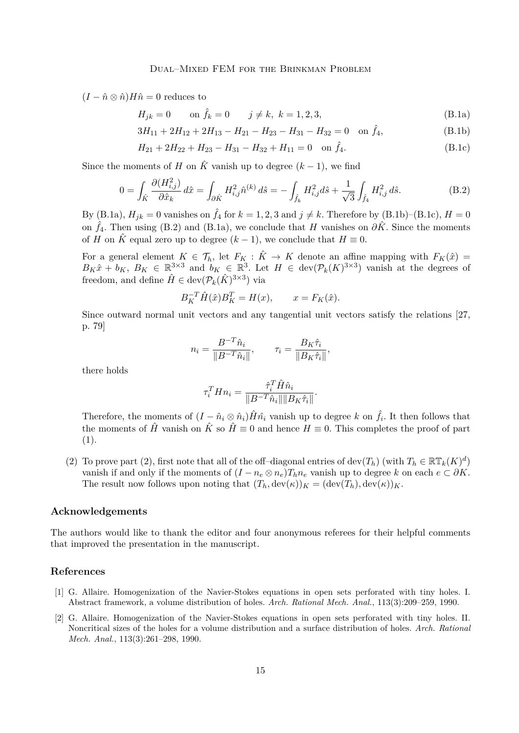$(I - \hat{n} \otimes \hat{n})H\hat{n} = 0$  reduces to

<span id="page-15-2"></span>
$$
H_{jk} = 0
$$
 on  $\hat{f}_k = 0$   $j \neq k, k = 1, 2, 3,$  (B.1a)

<span id="page-15-3"></span>
$$
3H_{11} + 2H_{12} + 2H_{13} - H_{21} - H_{23} - H_{31} - H_{32} = 0 \quad \text{on } \hat{f}_4,
$$
\n(B.1b)

$$
H_{21} + 2H_{22} + H_{23} - H_{31} - H_{32} + H_{11} = 0 \quad \text{on } \hat{f}_4.
$$
 (B.1c)

Since the moments of *H* on  $\hat{K}$  vanish up to degree  $(k-1)$ , we find

$$
0 = \int_{\hat{K}} \frac{\partial (H_{i,j}^2)}{\partial \hat{x}_k} d\hat{x} = \int_{\partial \hat{K}} H_{i,j}^2 \hat{n}^{(k)} d\hat{s} = -\int_{\hat{f}_k} H_{i,j}^2 d\hat{s} + \frac{1}{\sqrt{3}} \int_{\hat{f}_4} H_{i,j}^2 d\hat{s}.
$$
 (B.2)

By [\(B.1a\)](#page-15-2),  $H_{jk} = 0$  vanishes on  $\hat{f}_4$  for  $k = 1, 2, 3$  and  $j \neq k$ . Therefore by [\(B.1b\)](#page-15-3)–[\(B.1c\)](#page-15-4),  $H = 0$ on  $\hat{f}_4$ . Then using [\(B.2\)](#page-15-5) and [\(B.1a\)](#page-15-2), we conclude that *H* vanishes on  $\partial \hat{K}$ . Since the moments of *H* on  $\hat{K}$  equal zero up to degree  $(k-1)$ , we conclude that  $H \equiv 0$ .

For a general element  $K \in \mathcal{T}_h$ , let  $F_K : \hat{K} \to K$  denote an affine mapping with  $F_K(\hat{x}) =$  $B_K \hat{x} + b_K$ ,  $B_K \in \mathbb{R}^{3 \times 3}$  and  $b_K \in \mathbb{R}^3$ . Let  $H \in \text{dev}(\mathcal{P}_k(K)^{3 \times 3})$  vanish at the degrees of freedom, and define  $\hat{H} \in \text{dev}(\mathcal{P}_k(\hat{K})^{3 \times 3})$  via

<span id="page-15-5"></span><span id="page-15-4"></span>
$$
B_K^{-T} \hat{H}(\hat{x}) B_K^T = H(x), \qquad x = F_K(\hat{x}).
$$

Since outward normal unit vectors and any tangential unit vectors satisfy the relations [\[27,](#page-17-15) p. 79]

$$
n_i = \frac{B^{-T}\hat{n}_i}{\|B^{-T}\hat{n}_i\|}, \qquad \tau_i = \frac{B_K\hat{\tau}_i}{\|B_K\hat{\tau}_i\|},
$$

there holds

$$
\tau_i^T H n_i = \frac{\hat{\tau}_i^T \hat{H} \hat{n}_i}{\|B^{-T} \hat{n}_i\| \|B_K \hat{\tau}_i\|}.
$$

Therefore, the moments of  $(I - \hat{n}_i \otimes \hat{n}_i) \hat{H} \hat{n}_i$  vanish up to degree *k* on  $\hat{f}_i$ . It then follows that the moments of  $\hat{H}$  vanish on  $\hat{K}$  so  $\hat{H} \equiv 0$  and hence  $H \equiv 0$ . This completes the proof of part (1).

(2) To prove part (2), first note that all of the off-diagonal entries of dev( $T_h$ ) (with  $T_h \in \mathbb{RT}_k(K)^d$ ) vanish if and only if the moments of  $(I - n_e \otimes n_e)T_h n_e$  vanish up to degree k on each  $e \subset \partial K$ . The result now follows upon noting that  $(T_h, \text{dev}(\kappa))_K = (\text{dev}(T_h), \text{dev}(\kappa))_K$ .

# **Acknowledgements**

The authors would like to thank the editor and four anonymous referees for their helpful comments that improved the presentation in the manuscript.

## **References**

- <span id="page-15-0"></span>[1] G. Allaire. Homogenization of the Navier-Stokes equations in open sets perforated with tiny holes. I. Abstract framework, a volume distribution of holes. *Arch. Rational Mech. Anal.*, 113(3):209–259, 1990.
- <span id="page-15-1"></span>[2] G. Allaire. Homogenization of the Navier-Stokes equations in open sets perforated with tiny holes. II. Noncritical sizes of the holes for a volume distribution and a surface distribution of holes. *Arch. Rational Mech. Anal.*, 113(3):261–298, 1990.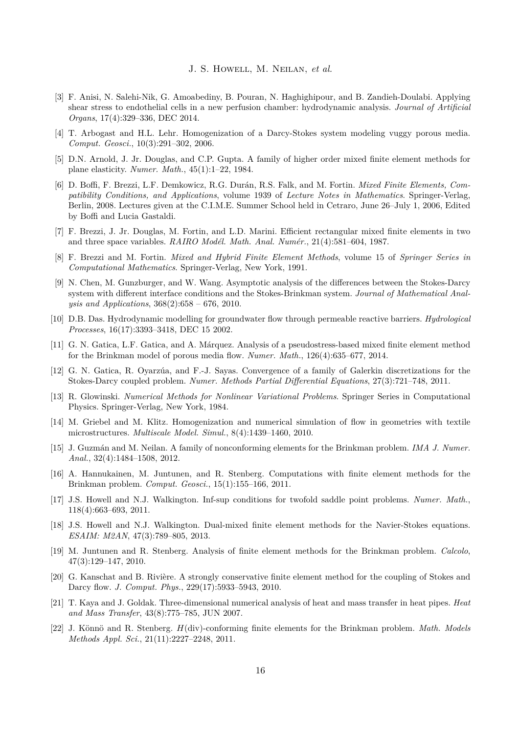- <span id="page-16-6"></span>[3] F. Anisi, N. Salehi-Nik, G. Amoabediny, B. Pouran, N. Haghighipour, and B. Zandieh-Doulabi. Applying shear stress to endothelial cells in a new perfusion chamber: hydrodynamic analysis. *Journal of Artificial Organs*, 17(4):329–336, DEC 2014.
- <span id="page-16-2"></span>[4] T. Arbogast and H.L. Lehr. Homogenization of a Darcy-Stokes system modeling vuggy porous media. *Comput. Geosci.*, 10(3):291–302, 2006.
- <span id="page-16-18"></span>[5] D.N. Arnold, J. Jr. Douglas, and C.P. Gupta. A family of higher order mixed finite element methods for plane elasticity. *Numer. Math.*, 45(1):1–22, 1984.
- <span id="page-16-17"></span>[6] D. Boffi, F. Brezzi, L.F. Demkowicz, R.G. Durán, R.S. Falk, and M. Fortin. *Mixed Finite Elements, Compatibility Conditions, and Applications*, volume 1939 of *Lecture Notes in Mathematics*. Springer-Verlag, Berlin, 2008. Lectures given at the C.I.M.E. Summer School held in Cetraro, June 26–July 1, 2006, Edited by Boffi and Lucia Gastaldi.
- <span id="page-16-19"></span>[7] F. Brezzi, J. Jr. Douglas, M. Fortin, and L.D. Marini. Efficient rectangular mixed finite elements in two and three space variables. *RAIRO Modél. Math. Anal. Numér.*, 21(4):581–604, 1987.
- <span id="page-16-16"></span>[8] F. Brezzi and M. Fortin. *Mixed and Hybrid Finite Element Methods*, volume 15 of *Springer Series in Computational Mathematics*. Springer-Verlag, New York, 1991.
- <span id="page-16-8"></span>[9] N. Chen, M. Gunzburger, and W. Wang. Asymptotic analysis of the differences between the Stokes-Darcy system with different interface conditions and the Stokes-Brinkman system. *Journal of Mathematical Analysis and Applications*, 368(2):658 – 676, 2010.
- <span id="page-16-3"></span>[10] D.B. Das. Hydrodynamic modelling for groundwater flow through permeable reactive barriers. *Hydrological Processes*, 16(17):3393–3418, DEC 15 2002.
- <span id="page-16-15"></span>[11] G. N. Gatica, L.F. Gatica, and A. Márquez. Analysis of a pseudostress-based mixed finite element method for the Brinkman model of porous media flow. *Numer. Math.*, 126(4):635–677, 2014.
- <span id="page-16-10"></span>[12] G. N. Gatica, R. Oyarzúa, and F.-J. Sayas. Convergence of a family of Galerkin discretizations for the Stokes-Darcy coupled problem. *Numer. Methods Partial Differential Equations*, 27(3):721–748, 2011.
- <span id="page-16-7"></span>[13] R. Glowinski. *Numerical Methods for Nonlinear Variational Problems*. Springer Series in Computational Physics. Springer-Verlag, New York, 1984.
- <span id="page-16-5"></span>[14] M. Griebel and M. Klitz. Homogenization and numerical simulation of flow in geometries with textile microstructures. *Multiscale Model. Simul.*, 8(4):1439–1460, 2010.
- <span id="page-16-11"></span>[15] J. Guzmán and M. Neilan. A family of nonconforming elements for the Brinkman problem. *IMA J. Numer. Anal.*, 32(4):1484–1508, 2012.
- <span id="page-16-13"></span>[16] A. Hannukainen, M. Juntunen, and R. Stenberg. Computations with finite element methods for the Brinkman problem. *Comput. Geosci.*, 15(1):155–166, 2011.
- <span id="page-16-0"></span>[17] J.S. Howell and N.J. Walkington. Inf-sup conditions for twofold saddle point problems. *Numer. Math.*, 118(4):663–693, 2011.
- <span id="page-16-1"></span>[18] J.S. Howell and N.J. Walkington. Dual-mixed finite element methods for the Navier-Stokes equations. *ESAIM: M2AN*, 47(3):789–805, 2013.
- <span id="page-16-12"></span>[19] M. Juntunen and R. Stenberg. Analysis of finite element methods for the Brinkman problem. *Calcolo*, 47(3):129–147, 2010.
- <span id="page-16-9"></span>[20] G. Kanschat and B. Rivière. A strongly conservative finite element method for the coupling of Stokes and Darcy flow. *J. Comput. Phys.*, 229(17):5933–5943, 2010.
- <span id="page-16-4"></span>[21] T. Kaya and J. Goldak. Three-dimensional numerical analysis of heat and mass transfer in heat pipes. *Heat and Mass Transfer*, 43(8):775–785, JUN 2007.
- <span id="page-16-14"></span>[22] J. Könnö and R. Stenberg. *H*(div)-conforming finite elements for the Brinkman problem. *Math. Models Methods Appl. Sci.*, 21(11):2227–2248, 2011.